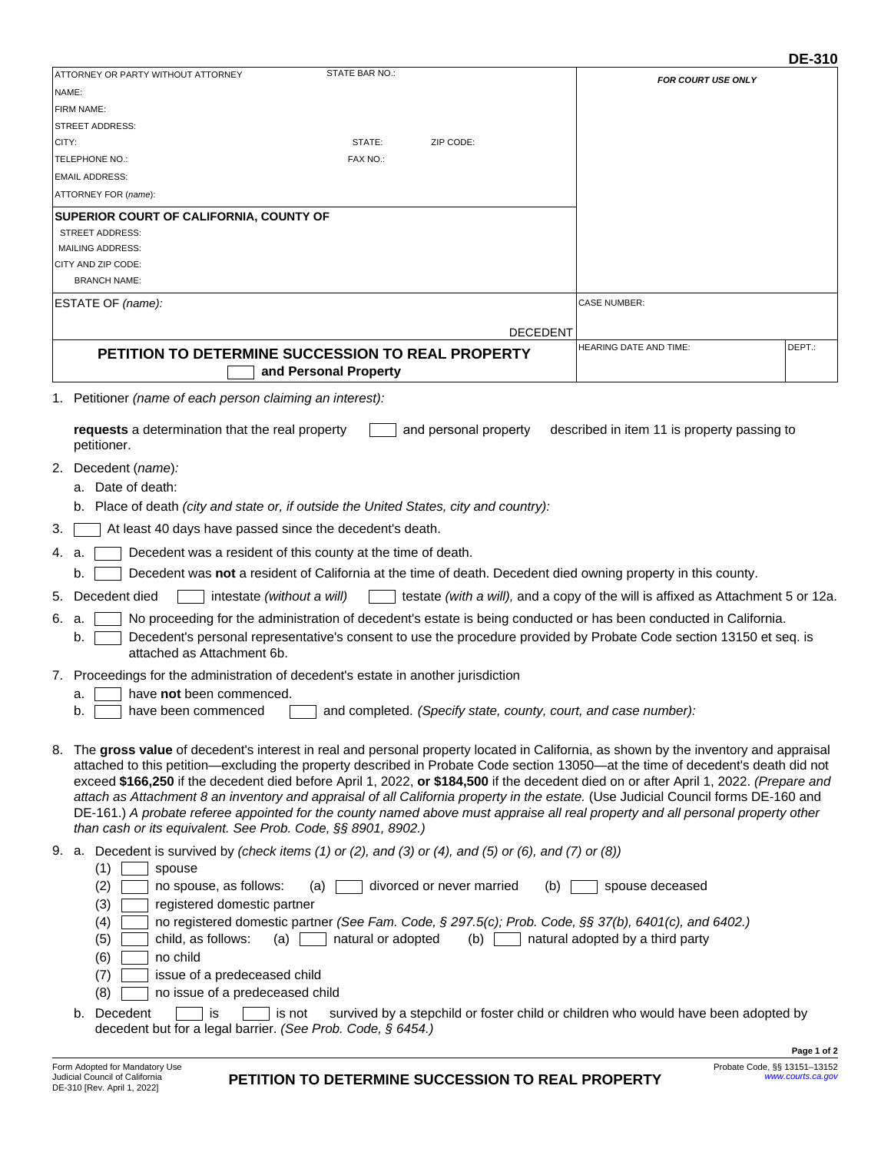|                                                                                                                            |                                                                                                                                                                                                                                                                                                                                                                                                                                                                                                                                                                                                                                                                                                                                                              |                                                                                  | <b>DE-310</b> |  |  |
|----------------------------------------------------------------------------------------------------------------------------|--------------------------------------------------------------------------------------------------------------------------------------------------------------------------------------------------------------------------------------------------------------------------------------------------------------------------------------------------------------------------------------------------------------------------------------------------------------------------------------------------------------------------------------------------------------------------------------------------------------------------------------------------------------------------------------------------------------------------------------------------------------|----------------------------------------------------------------------------------|---------------|--|--|
| NAME:                                                                                                                      | STATE BAR NO.:<br>ATTORNEY OR PARTY WITHOUT ATTORNEY                                                                                                                                                                                                                                                                                                                                                                                                                                                                                                                                                                                                                                                                                                         | <b>FOR COURT USE ONLY</b>                                                        |               |  |  |
|                                                                                                                            | FIRM NAME:                                                                                                                                                                                                                                                                                                                                                                                                                                                                                                                                                                                                                                                                                                                                                   |                                                                                  |               |  |  |
|                                                                                                                            | <b>STREET ADDRESS:</b>                                                                                                                                                                                                                                                                                                                                                                                                                                                                                                                                                                                                                                                                                                                                       |                                                                                  |               |  |  |
| CITY:                                                                                                                      | STATE:<br>ZIP CODE:                                                                                                                                                                                                                                                                                                                                                                                                                                                                                                                                                                                                                                                                                                                                          |                                                                                  |               |  |  |
|                                                                                                                            | TELEPHONE NO.:<br>FAX NO.:                                                                                                                                                                                                                                                                                                                                                                                                                                                                                                                                                                                                                                                                                                                                   |                                                                                  |               |  |  |
|                                                                                                                            | <b>EMAIL ADDRESS:</b>                                                                                                                                                                                                                                                                                                                                                                                                                                                                                                                                                                                                                                                                                                                                        |                                                                                  |               |  |  |
|                                                                                                                            | ATTORNEY FOR (name):                                                                                                                                                                                                                                                                                                                                                                                                                                                                                                                                                                                                                                                                                                                                         |                                                                                  |               |  |  |
|                                                                                                                            | SUPERIOR COURT OF CALIFORNIA, COUNTY OF<br><b>STREET ADDRESS:</b>                                                                                                                                                                                                                                                                                                                                                                                                                                                                                                                                                                                                                                                                                            |                                                                                  |               |  |  |
|                                                                                                                            | <b>MAILING ADDRESS:</b>                                                                                                                                                                                                                                                                                                                                                                                                                                                                                                                                                                                                                                                                                                                                      |                                                                                  |               |  |  |
|                                                                                                                            | CITY AND ZIP CODE:                                                                                                                                                                                                                                                                                                                                                                                                                                                                                                                                                                                                                                                                                                                                           |                                                                                  |               |  |  |
|                                                                                                                            | <b>BRANCH NAME:</b>                                                                                                                                                                                                                                                                                                                                                                                                                                                                                                                                                                                                                                                                                                                                          |                                                                                  |               |  |  |
|                                                                                                                            | ESTATE OF (name):                                                                                                                                                                                                                                                                                                                                                                                                                                                                                                                                                                                                                                                                                                                                            | <b>CASE NUMBER:</b>                                                              |               |  |  |
|                                                                                                                            |                                                                                                                                                                                                                                                                                                                                                                                                                                                                                                                                                                                                                                                                                                                                                              |                                                                                  |               |  |  |
|                                                                                                                            | <b>DECEDENT</b>                                                                                                                                                                                                                                                                                                                                                                                                                                                                                                                                                                                                                                                                                                                                              |                                                                                  |               |  |  |
|                                                                                                                            | PETITION TO DETERMINE SUCCESSION TO REAL PROPERTY<br>and Personal Property                                                                                                                                                                                                                                                                                                                                                                                                                                                                                                                                                                                                                                                                                   | <b>HEARING DATE AND TIME:</b>                                                    | DEPT.:        |  |  |
|                                                                                                                            | 1. Petitioner (name of each person claiming an interest):                                                                                                                                                                                                                                                                                                                                                                                                                                                                                                                                                                                                                                                                                                    |                                                                                  |               |  |  |
|                                                                                                                            |                                                                                                                                                                                                                                                                                                                                                                                                                                                                                                                                                                                                                                                                                                                                                              |                                                                                  |               |  |  |
|                                                                                                                            | requests a determination that the real property<br>and personal property<br>petitioner.                                                                                                                                                                                                                                                                                                                                                                                                                                                                                                                                                                                                                                                                      | described in item 11 is property passing to                                      |               |  |  |
|                                                                                                                            | 2. Decedent (name):                                                                                                                                                                                                                                                                                                                                                                                                                                                                                                                                                                                                                                                                                                                                          |                                                                                  |               |  |  |
|                                                                                                                            | a. Date of death:                                                                                                                                                                                                                                                                                                                                                                                                                                                                                                                                                                                                                                                                                                                                            |                                                                                  |               |  |  |
|                                                                                                                            | Place of death (city and state or, if outside the United States, city and country):<br>b.                                                                                                                                                                                                                                                                                                                                                                                                                                                                                                                                                                                                                                                                    |                                                                                  |               |  |  |
| 3.                                                                                                                         | At least 40 days have passed since the decedent's death.                                                                                                                                                                                                                                                                                                                                                                                                                                                                                                                                                                                                                                                                                                     |                                                                                  |               |  |  |
| 4. a.                                                                                                                      | Decedent was a resident of this county at the time of death.                                                                                                                                                                                                                                                                                                                                                                                                                                                                                                                                                                                                                                                                                                 |                                                                                  |               |  |  |
|                                                                                                                            | Decedent was not a resident of California at the time of death. Decedent died owning property in this county.<br>b.                                                                                                                                                                                                                                                                                                                                                                                                                                                                                                                                                                                                                                          |                                                                                  |               |  |  |
| 5.                                                                                                                         | Decedent died<br>intestate (without a will)                                                                                                                                                                                                                                                                                                                                                                                                                                                                                                                                                                                                                                                                                                                  | testate (with a will), and a copy of the will is affixed as Attachment 5 or 12a. |               |  |  |
| No proceeding for the administration of decedent's estate is being conducted or has been conducted in California.<br>6. a. |                                                                                                                                                                                                                                                                                                                                                                                                                                                                                                                                                                                                                                                                                                                                                              |                                                                                  |               |  |  |
|                                                                                                                            | Decedent's personal representative's consent to use the procedure provided by Probate Code section 13150 et seq. is<br>b.<br>attached as Attachment 6b.                                                                                                                                                                                                                                                                                                                                                                                                                                                                                                                                                                                                      |                                                                                  |               |  |  |
|                                                                                                                            | 7. Proceedings for the administration of decedent's estate in another jurisdiction                                                                                                                                                                                                                                                                                                                                                                                                                                                                                                                                                                                                                                                                           |                                                                                  |               |  |  |
|                                                                                                                            | have not been commenced.<br>а.                                                                                                                                                                                                                                                                                                                                                                                                                                                                                                                                                                                                                                                                                                                               |                                                                                  |               |  |  |
|                                                                                                                            | and completed. (Specify state, county, court, and case number):<br>have been commenced<br>D.                                                                                                                                                                                                                                                                                                                                                                                                                                                                                                                                                                                                                                                                 |                                                                                  |               |  |  |
|                                                                                                                            | 8. The gross value of decedent's interest in real and personal property located in California, as shown by the inventory and appraisal<br>attached to this petition—excluding the property described in Probate Code section 13050—at the time of decedent's death did not<br>exceed \$166,250 if the decedent died before April 1, 2022, or \$184,500 if the decedent died on or after April 1, 2022. (Prepare and<br>attach as Attachment 8 an inventory and appraisal of all California property in the estate. (Use Judicial Council forms DE-160 and<br>DE-161.) A probate referee appointed for the county named above must appraise all real property and all personal property other<br>than cash or its equivalent. See Prob. Code, §§ 8901, 8902.) |                                                                                  |               |  |  |
|                                                                                                                            | 9. a. Decedent is survived by (check items (1) or (2), and (3) or (4), and (5) or (6), and (7) or (8))<br>(1)<br>spouse                                                                                                                                                                                                                                                                                                                                                                                                                                                                                                                                                                                                                                      |                                                                                  |               |  |  |
|                                                                                                                            | (2)<br>no spouse, as follows:<br>divorced or never married<br>(a)<br>(b)<br>(3)<br>registered domestic partner<br>no registered domestic partner (See Fam. Code, § 297.5(c); Prob. Code, §§ 37(b), 6401(c), and 6402.)<br>(4)<br>(5)<br>child, as follows:<br>(a)<br>natural or adopted<br>(b)<br>(6)<br>no child<br>issue of a predeceased child<br>(7)<br>(8)<br>no issue of a predeceased child                                                                                                                                                                                                                                                                                                                                                           | spouse deceased<br>natural adopted by a third party                              |               |  |  |
|                                                                                                                            | b. Decedent<br>is<br>survived by a stepchild or foster child or children who would have been adopted by<br>is not                                                                                                                                                                                                                                                                                                                                                                                                                                                                                                                                                                                                                                            |                                                                                  |               |  |  |
|                                                                                                                            | decedent but for a legal barrier. (See Prob. Code, § 6454.)                                                                                                                                                                                                                                                                                                                                                                                                                                                                                                                                                                                                                                                                                                  |                                                                                  |               |  |  |